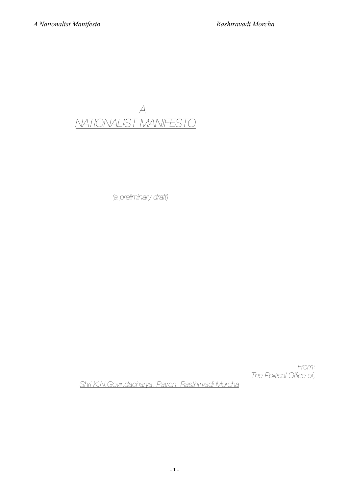*A NATIONALIST MANIFESTO*

 *(a preliminary draft)*

*From: The Political Office of,* 

 *Shri K.N.Govindacharya, Patron, Rasthtrvadi Morcha*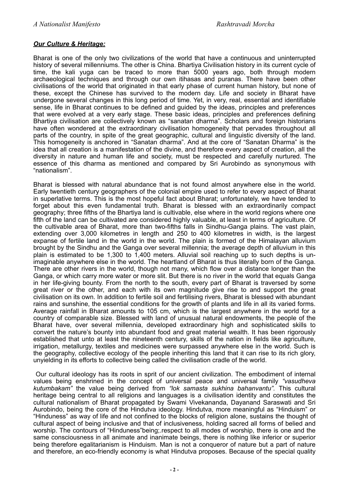# *Our Culture & Heritage:*

Bharat is one of the only two civilizations of the world that have a continuous and uninterrupted history of several millenniums. The other is China. Bhartiya Civilisation history in its current cycle of time, the kali yuga can be traced to more than 5000 years ago, both through modern archaeological techniques and through our own itihasas and puranas. There have been other civilisations of the world that originated in that early phase of current human history, but none of these, except the Chinese has survived to the modern day. Life and society in Bharat have undergone several changes in this long period of time. Yet, in very, real, essential and identifiable sense, life in Bharat continues to be defined and guided by the ideas, principles and preferences that were evolved at a very early stage. These basic ideas, principles and preferences defining Bhartiya civilisation are collectively known as "sanatan dharma". Scholars and foreign historians have often wondered at the extraordinary civilisation homogeneity that pervades throughout all parts of the country, in spite of the great geographic, cultural and linguistic diversity of the land. This homogeneity is anchored in "Sanatan dharma". And at the core of "Sanatan Dharma" is the idea that all creation is a manifestation of the divine, and therefore every aspect of creation, all the diversity in nature and human life and society, must be respected and carefully nurtured. The essence of this dharma as mentioned and compared by Sri Aurobindo as synonymous with "nationalism".

Bharat is blessed with natural abundance that is not found almost anywhere else in the world. Early twentieth century geographers of the colonial empire used to refer to every aspect of Bharat in superlative terms. This is the most hopeful fact about Bharat; unfortunately, we have tended to forget about this even fundamental truth. Bharat is blessed with an extraordinarily compact geography; three fifths of the Bhartiya land is cultivable, else where in the world regions where one fifth of the land can be cultivated are considered highly valuable, at least in terms of agriculture. Of the cultivable area of Bharat, more than two-fifths falls in Sindhu-Ganga plains. The vast plain, extending over 3,000 kilometres in length and 250 to 400 kilometres in width, is the largest expanse of fertile land in the world in the world. The plain is formed of the Himalayan alluvium brought by the Sindhu and the Ganga over several millennia; the average depth of alluvium in this plain is estimated to be 1,300 to 1,400 meters. Alluvial soil reaching up to such depths is unimaginable anywhere else in the world. The heartland of Bharat is thus literally born of the Ganga. There are other rivers in the world, though not many, which flow over a distance longer than the Ganga, or which carry more water or more slit. But there is no river in the world that equals Ganga in her life-giving bounty. From the north to the south, every part of Bharat is traversed by some great river or the other, and each with its own magnitude give rise to and support the great civilisation on its own. In addition to fertile soil and fertilising rivers, Bharat is blessed with abundant rains and sunshine, the essential conditions for the growth of plants and life in all its varied forms. Average rainfall in Bharat amounts to 105 cm, which is the largest anywhere in the world for a country of comparable size. Blessed with land of unusual natural endowments, the people of the Bharat have, over several millennia, developed extraordinary high and sophisticated skills to convert the nature's bounty into abundant food and great material wealth. It has been rigorously established that unto at least the nineteenth century, skills of the nation in fields like agriculture, irrigation, metallurgy, textiles and medicines were surpassed anywhere else in the world. Such is the geography, collective ecology of the people inheriting this land that it can rise to its rich glory, unyielding in its efforts to collective being called the civilisation cradle of the world.

 Our cultural ideology has its roots in sprit of our ancient civilization. The embodiment of internal values being enshrined in the concept of universal peace and universal family *"vasudheva kutumbakam"* the value being derived from *"lok samasta sukhina bahanvantu".* This cultural heritage being central to all religions and languages is a civilisation identity and constitutes the cultural nationalism of Bharat propagated by Swami Vivekananda, Dayanand Saraswati and Sri Aurobindo, being the core of the Hindutva ideology. Hindutva, more meaningful as "Hinduism" or "Hinduness" as way of life and not confined to the blocks of religion alone, sustains the thought of cultural aspect of being inclusive and that of inclusiveness, holding sacred all forms of belied and worship. The contours of "Hinduness"being;.respect to all modes of worship, there is one and the same consciousness in all animate and inanimate beings, there is nothing like inferior or superior being therefore egalitarianism is Hinduism. Man is not a conqueror of nature but a part of nature and therefore, an eco-friendly economy is what Hindutva proposes. Because of the special quality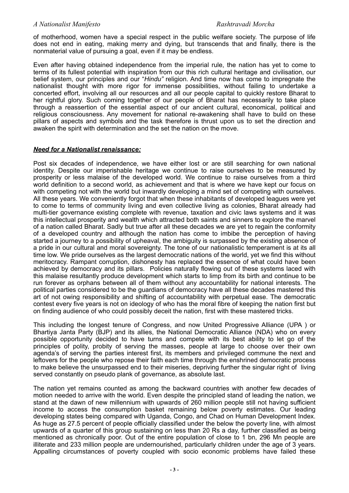of motherhood, women have a special respect in the public welfare society. The purpose of life does not end in eating, making merry and dying, but transcends that and finally, there is the nonmaterial value of pursuing a goal, even if it may be endless.

Even after having obtained independence from the imperial rule, the nation has yet to come to terms of its fullest potential with inspiration from our this rich cultural heritage and civilisation, our belief system, our principles and our "*Hindu"* religion. And time now has come to impregnate the nationalist thought with more rigor for immense possibilities, without failing to undertake a concerted effort, involving all our resources and all our people capital to quickly restore Bharat to her rightful glory. Such coming together of our people of Bharat has necessarily to take place through a reassertion of the essential aspect of our ancient cultural, economical, political and religious consciousness. Any movement for national re-awakening shall have to build on these pillars of aspects and symbols and the task therefore is thrust upon us to set the direction and awaken the spirit with determination and the set the nation on the move.

# *Need for a Nationalist renaissance:*

Post six decades of independence, we have either lost or are still searching for own national identity. Despite our imperishable heritage we continue to raise ourselves to be measured by prosperity or less malaise of the developed world. We continue to raise ourselves from a third world definition to a second world, as achievement and that is where we have kept our focus on with competing not with the world but inwardly developing a mind set of competing with ourselves. All these years. We conveniently forgot that when these inhabitants of developed leagues were yet to come to terms of community living and even collective living as colonies, Bharat already had multi-tier governance existing complete with revenue, taxation and civic laws systems and it was this intellectual prosperity and wealth which attracted both saints and sinners to explore the marvel of a nation called Bharat. Sadly but true after all these decades we are yet to regain the conformity of a developed country and although the nation has come to imbibe the perception of having started a journey to a possibility of upheaval, the ambiguity is surpassed by the existing absence of a pride in our cultural and moral sovereignty. The tone of our nationalistic temperament is at its all time low. We pride ourselves as the largest democratic nations of the world, yet we find this without meritocracy. Rampant corruption, dishonesty has replaced the essence of what could have been achieved by democracy and its pillars. Policies naturally flowing out of these systems laced with this malaise resultantly produce development which starts to limp from its birth and continue to be run forever as orphans between all of them without any accountability for national interests. The political parties considered to be the guardians of democracy have all these decades mastered this art of not owing responsibility and shifting of accountability with perpetual ease. The democratic contest every five years is not on ideology of who has the moral fibre of keeping the nation first but on finding audience of who could possibly deceit the nation, first with these mastered tricks.

This including the longest tenure of Congress, and now United Progressive Alliance (UPA ) or Bhartiya Janta Party (BJP) and its allies, the National Democratic Alliance (NDA) who on every possible opportunity decided to have turns and compete with its best ability to let go of the principles of polity, probity of serving the masses, people at large to choose over their own agenda's of serving the parties interest first, its members and privileged commune the next and leftovers for the people who repose their faith each time through the enshrined democratic process to make believe the unsurpassed end to their miseries, depriving further the singular right of living served constantly on pseudo plank of governance, as absolute last.

The nation yet remains counted as among the backward countries with another few decades of motion needed to arrive with the world. Even despite the principled stand of leading the nation, we stand at the dawn of new millennium with upwards of 260 million people still not having sufficient income to access the consumption basket remaining below poverty estimates. Our leading developing states being compared with Uganda, Congo, and Chad on Human Development Index. As huge as 27.5 percent of people officially classified under the below the poverty line, with almost upwards of a quarter of this group sustaining on less than 20 Rs a day, further classified as being mentioned as chronically poor. Out of the entire population of close to 1 bn, 296 Mn people are illiterate and 233 million people are undernourished, particularly children under the age of 3 years. Appalling circumstances of poverty coupled with socio economic problems have failed these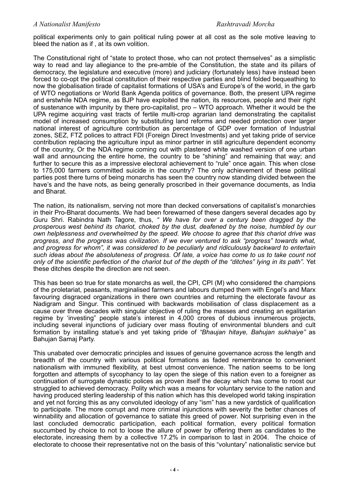political experiments only to gain political ruling power at all cost as the sole motive leaving to bleed the nation as if , at its own volition.

The Constitutional right of "state to protect those, who can not protect themselves" as a simplistic way to read and lay allegiance to the pre-amble of the Constitution, the state and its pillars of democracy, the legislature and executive (more) and judiciary (fortunately less) have instead been forced to co-opt the political constitution of their respective parties and blind folded bequeathing to now the globalisation tirade of capitalist formations of USA's and Europe's of the world, in the garb of WTO negotiations or World Bank Agenda politics of governance. Both, the present UPA regime and erstwhile NDA regime, as BJP have exploited the nation, its resources, people and their right of sustenance with impunity by there pro-capitalist, pro – WTO approach. Whether it would be the UPA regime acquiring vast tracts of fertile multi-crop agrarian land demonstrating the capitalist model of increased consumption by substituting land reforms and needed protection over larger national interest of agriculture contribution as percentage of GDP over formation of Industrial zones, SEZ, FTZ polices to attract FDI (Foreign Direct Investments) and yet taking pride of service contribution replacing the agriculture input as minor partner in still agriculture dependent economy of the country, Or the NDA regime coming out with plastered white washed version of one urban wall and announcing the entire home, the country to be "shining" and remaining that way; and further to secure this as a impressive electoral achievement to "rule" once again. This when close to 175,000 farmers committed suicide in the country? The only achievement of these political parties post there turns of being monarchs has seen the country now standing divided between the have's and the have nots, as being generally proscribed in their governance documents, as India and Bharat.

The nation, its nationalism, serving not more than decked conversations of capitalist's monarchies in their Pro-Bharat documents. We had been forewarned of these dangers several decades ago by Guru Shri. Rabindra Nath Tagore, thus, *" We have for over a century been dragged by the prosperous west behind its chariot, choked by the dust, deafened by the noise, humbled by our own helplessness and overwhelmed by the speed. We choose to agree that this chariot drive was progress, and the progress was civilization. If we ever ventured to ask "progress" towards what, and progress for whom", it was considered to be peculiarly and ridiculously backward to entertain such ideas about the absoluteness of progress. Of late, a voice has come to us to take count not only of the scientific perfection of the chariot but of the depth of the "ditches" lying in its path".* Yet these ditches despite the direction are not seen.

This has been so true for state monarchs as well, the CPI, CPI (M) who considered the champions of the proletariat, peasants, marginalised farmers and labours dumped them with Engel's and Marx favouring disgraced organizations in there own countries and returning the electorate favour as Nadigram and Singur. This continued with backwards mobilisation of class displacement as a cause over three decades with singular objective of ruling the masses and creating an egalitarian regime by 'investing" people state's interest in 4,000 crores of dubious innumerous projects, including several injunctions of judiciary over mass flouting of environmental blunders and cult formation by installing statue's and yet taking pride of *"Bhaujan hitaye, Bahujan sukhaiye"* as Bahujan Samaj Party.

This unabated over democratic principles and issues of genuine governance across the length and breadth of the country with various political formations as faded remembrance to convenient nationalism with immuned flexibility, at best utmost convenience. The nation seems to be long forgotten and attempts of sycophancy to lay open the siege of this nation even to a foreigner as continuation of surrogate dynastic polices as proven itself the decay which has come to roost our struggled to achieved democracy. Polity which was a means for voluntary service to the nation and having produced sterling leadership of this nation which has this developed world taking inspiration and yet not forcing this as any convoluted ideology of any "ism" has a new yardstick of qualification to participate. The more corrupt and more criminal injunctions with severity the better chances of winnability and allocation of governance to satiate this greed of power. Not surprising even in the last concluded democratic participation, each political formation, every political formation succumbed by choice to not to loose the allure of power by offering them as candidates to the electorate, increasing them by a collective 17.2% in comparison to last in 2004. The choice of electorate to choose their representative not on the basis of this "voluntary" nationalistic service but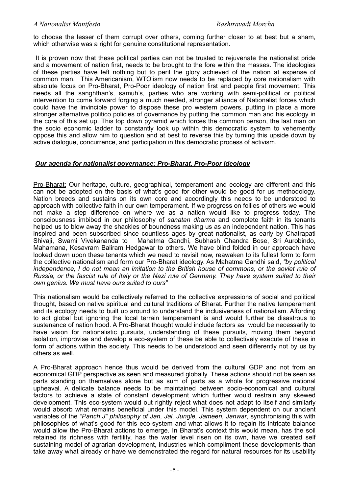to choose the lesser of them corrupt over others, coming further closer to at best but a sham, which otherwise was a right for genuine constitutional representation.

 It is proven now that these political parties can not be trusted to rejuvenate the nationalist pride and a movement of nation first, needs to be brought to the fore within the masses. The ideologies of these parties have left nothing but to peril the glory achieved of the nation at expense of common man. This Americanism, WTO'ism now needs to be replaced by core nationalism with absolute focus on Pro-Bharat, Pro-Poor ideology of nation first and people first movement. This needs all the sanghthan's, samuh's, parties who are working with semi-political or political intervention to come forward forging a much needed, stronger alliance of Nationalist forces which could have the invincible power to dispose these pro western powers, putting in place a more stronger alternative politico policies of governance by putting the common man and his ecology in the core of this set up. This top down pyramid which forces the common person, the last man on the socio economic ladder to constantly look up within this democratic system to vehemently oppose this and allow him to question and at best to reverse this by turning this upside down by active dialogue, concurrence, and participation in this democratic process of activism.

# *Our agenda for nationalist governance: Pro-Bharat, Pro-Poor Ideology*

Pro-Bharat: Our heritage, culture, geographical, temperament and ecology are different and this can not be adopted on the basis of what's good for other would be good for us methodology. Nation breeds and sustains on its own core and accordingly this needs to be understood to approach with collective faith in our own temperament. If we progress on follies of others we would not make a step difference on where we as a nation would like to progress today. The consciousness imbibed in our philosophy of *sanatan dharma* and complete faith in its tenants helped us to blow away the shackles of boundness making us as an independent nation. This has inspired and been subscribed since countless ages by great nationalist, as early by Chatrapati<br>Shivaii. Swami Vivekananda to Mahatma Gandhi. Subhash Chandra Bose. Sri Aurobindo. Mahatma Gandhi, Subhash Chandra Bose, Sri Aurobindo, Mahamana, Kesavram Baliram Hedgawar to others. We have blind folded in our approach have looked down upon these tenants which we need to revisit now, reawaken to its fullest form to form the collective nationalism and form our Pro-Bharat ideology. As Mahatma Gandhi said, *"by political independence, I do not mean an imitation to the British house of commons, or the soviet rule of Russia, or the fascist rule of Italy or the Nazi rule of Germany. They have system suited to their own genius. We must have ours suited to ours"* 

This nationalism would be collectively referred to the collective expressions of social and political thought, based on native spiritual and cultural traditions of Bharat. Further the native temperament and its ecology needs to built up around to understand the inclusiveness of nationalism. Affording to act global but ignoring the local terrain temperament is and would further be disastrous to sustenance of nation hood. A Pro-Bharat thought would include factors as would be necessarily to have vision for nationalistic pursuits, understanding of these pursuits, moving them beyond isolation, improvise and develop a eco-system of these be able to collectively execute of these in form of actions within the society. This needs to be understood and seen differently not by us by others as well.

A Pro-Bharat approach hence thus would be derived from the cultural GDP and not from an economical GDP perspective as seen and measured globally. These actions should not be seen as parts standing on themselves alone but as sum of parts as a whole for progressive national upheaval. A delicate balance needs to be maintained between socio-economical and cultural factors to achieve a state of constant development which further would restrain any skewed development. This eco-system would out rightly reject what does not adapt to itself and similarly would absorb what remains beneficial under this model. This system dependent on our ancient variables of the *"Panch J" philosophy of Jan, Jal, Jungle, Jameen, Janwar*, synchronising this with philosophies of what's good for this eco-system and what allows it to regain its intricate balance would allow the Pro-Bharat actions to emerge. In Bharat's context this would mean, has the soil retained its richness with fertility, has the water level risen on its own, have we created self sustaining model of agrarian development, industries which compliment these developments than take away what already or have we demonstrated the regard for natural resources for its usability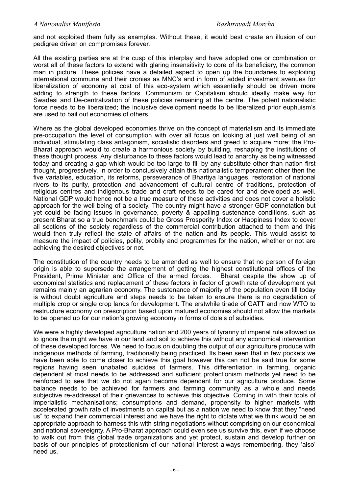and not exploited them fully as examples. Without these, it would best create an illusion of our pedigree driven on compromises forever.

All the existing parties are at the cusp of this interplay and have adopted one or combination or worst all of these factors to extend with glaring insensitivity to core of its beneficiary, the common man in picture. These policies have a detailed aspect to open up the boundaries to exploiting international commune and their cronies as MNC's and in form of added investment avenues for liberalization of economy at cost of this eco-system which essentially should be driven more adding to strength to these factors. Communism or Capitalism should ideally make way for Swadesi and De-centralization of these policies remaining at the centre. The potent nationalistic force needs to be liberalized; the inclusive development needs to be liberalized prior euphuism's are used to bail out economies of others.

Where as the global developed economies thrive on the concept of materialism and its immediate pre-occupation the level of consumption with over all focus on looking at just well being of an individual, stimulating class antagonism, socialistic disorders and greed to acquire more; the Pro-Bharat approach would to create a harmonious society by building, reshaping the institutions of these thought process. Any disturbance to these factors would lead to anarchy as being witnessed today and creating a gap which would be too large to fill by any substitute other than nation first thought, progressively. In order to conclusively attain this nationalistic temperament other then the five variables, education, its reforms, perseverance of Bhartiya languages, restoration of national rivers to its purity, protection and advancement of cultural centre of traditions, protection of religious centres and indigenous trade and craft needs to be cared for and developed as well. National GDP would hence not be a true measure of these activities and does not cover a holistic approach for the well being of a society. The country might have a stronger GDP connotation but yet could be facing issues in governance, poverty & appalling sustenance conditions, such as present Bharat so a true benchmark could be Gross Prosperity Index or Happiness Index to cover all sections of the society regardless of the commercial contribution attached to them and this would then truly reflect the state of affairs of the nation and its people. This would assist to measure the impact of policies, polity, probity and programmes for the nation, whether or not are achieving the desired objectives or not.

The constitution of the country needs to be amended as well to ensure that no person of foreign origin is able to supersede the arrangement of getting the highest constitutional offices of the President, Prime Minister and Office of the armed forces. Bharat despite the show up of economical statistics and replacement of these factors in factor of growth rate of development yet remains mainly an agrarian economy. The sustenance of majority of the population even till today is without doubt agriculture and steps needs to be taken to ensure there is no degradation of multiple crop or single crop lands for development. The erstwhile tirade of GATT and now WTO to restructure economy on prescription based upon matured economies should not allow the markets to be opened up for our nation's growing economy in forms of dole's of subsidies.

We were a highly developed agriculture nation and 200 years of tyranny of imperial rule allowed us to ignore the might we have in our land and soil to achieve this without any economical intervention of these developed forces. We need to focus on doubling the output of our agriculture produce with indigenous methods of farming, traditionally being practiced. Its been seen that in few pockets we have been able to come closer to achieve this goal however this can not be said true for some regions having seen unabated suicides of farmers. This differentiation in farming, organic dependent at most needs to be addressed and sufficient protectionism methods yet need to be reinforced to see that we do not again become dependent for our agriculture produce. Some balance needs to be achieved for farmers and farming community as a whole and needs subjective re-addressal of their grievances to achieve this objective. Coming in with their tools of imperialistic mechanisations; consumptions and demand, propensity to higher markets with accelerated growth rate of investments on capital but as a nation we need to know that they "need us" to expand their commercial interest and we have the right to dictate what we think would be an appropriate approach to harness this with string negotiations without comprising on our economical and national sovereignty. A Pro-Bharat approach could even see us survive this, even if we choose to walk out from this global trade organizations and yet protect, sustain and develop further on basis of our principles of protectionism of our national interest always remembering, they 'also' need us.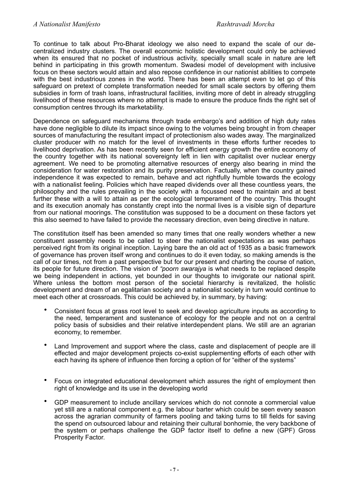To continue to talk about Pro-Bharat ideology we also need to expand the scale of our decentralized industry clusters. The overall economic holistic development could only be achieved when its ensured that no pocket of industrious activity, specially small scale in nature are left behind in participating in this growth momentum. Swadesi model of development with inclusive focus on these sectors would attain and also repose confidence in our nationist abilities to compete with the best industrious zones in the world. There has been an attempt even to let go of this safeguard on pretext of complete transformation needed for small scale sectors by offering them subsidies in form of trash loans, infrastructural facilities, inviting more of debt in already struggling livelihood of these resources where no attempt is made to ensure the produce finds the right set of consumption centres through its marketability.

Dependence on safeguard mechanisms through trade embargo's and addition of high duty rates have done negligible to dilute its impact since owing to the volumes being brought in from cheaper sources of manufacturing the resultant impact of protectionism also wades away. The marginalized cluster producer with no match for the level of investments in these efforts further recedes to livelihood deprivation. As has been recently seen for efficient energy growth the entire economy of the country together with its national sovereignty left in lien with capitalist over nuclear energy agreement. We need to be promoting alternative resources of energy also bearing in mind the consideration for water restoration and its purity preservation. Factually, when the country gained independence it was expected to remain, behave and act rightfully humble towards the ecology with a nationalist feeling. Policies which have reaped dividends over all these countless years, the philosophy and the rules prevailing in the society with a focussed need to maintain and at best further these with a will to attain as per the ecological temperament of the country. This thought and its execution anomaly has constantly crept into the normal lives is a visible sign of departure from our national moorings. The constitution was supposed to be a document on these factors yet this also seemed to have failed to provide the necessary direction, even being directive in nature.

The constitution itself has been amended so many times that one really wonders whether a new constituent assembly needs to be called to steer the nationalist expectations as was perhaps perceived right from its original inception. Laying bare the an old act of 1935 as a basic framework of governance has proven itself wrong and continues to do it even today, so making amends is the call of our times, not from a past perspective but for our present and charting the course of nation, its people for future direction. The vision of *"poorn swarajya* is what needs to be replaced despite we being independent in actions, yet bounded in our thoughts to invigorate our national spirit. Where unless the bottom most person of the societal hierarchy is revitalized, the holistic development and dream of an egalitarian society and a nationalist society in turn would continue to meet each other at crossroads. This could be achieved by, in summary, by having:

- Consistent focus at grass root level to seek and develop agriculture inputs as according to the need, temperament and sustenance of ecology for the people and not on a central policy basis of subsidies and their relative interdependent plans. We still are an agrarian economy, to remember.
- Land Improvement and support where the class, caste and displacement of people are ill effected and major development projects co-exist supplementing efforts of each other with each having its sphere of influence then forcing a option of for "either of the systems"
- Focus on integrated educational development which assures the right of employment then right of knowledge and its use in the developing world
- GDP measurement to include ancillary services which do not connote a commercial value yet still are a national component e.g. the labour barter which could be seen every season across the agrarian community of farmers pooling and taking turns to till fields for saving the spend on outsourced labour and retaining their cultural bonhomie, the very backbone of the system or perhaps challenge the GDP factor itself to define a new (GPF) Gross Prosperity Factor.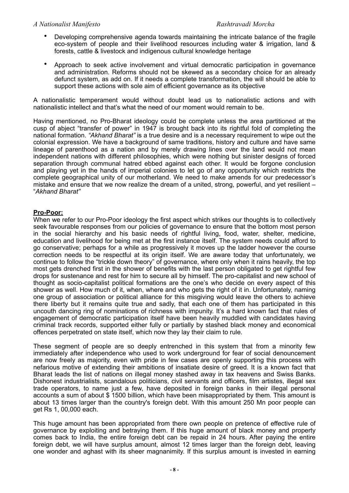- Developing comprehensive agenda towards maintaining the intricate balance of the fragile eco-system of people and their livelihood resources including water & irrigation, land & forests, cattle & livestock and indigenous cultural knowledge heritage
- Approach to seek active involvement and virtual democratic participation in governance and administration. Reforms should not be skewed as a secondary choice for an already defunct system, as add on. If it needs a complete transformation, the will should be able to support these actions with sole aim of efficient governance as its objective

A nationalistic temperament would without doubt lead us to nationalistic actions and with nationalistic intellect and that's what the need of our moment would remain to be.

Having mentioned, no Pro-Bharat ideology could be complete unless the area partitioned at the cusp of abject "transfer of power" in 1947 is brought back into its rightful fold of completing the national formation. *"Akhand Bharat"* is a true desire and is a necessary requirement to wipe out the colonial expression. We have a background of same traditions, history and culture and have same lineage of parenthood as a nation and by merely drawing lines over the land would not mean independent nations with different philosophies, which were nothing but sinister designs of forced separation through communal hatred ebbed against each other. It would be forgone conclusion and playing yet in the hands of imperial colonies to let go of any opportunity which restricts the complete geographical unity of our motherland. We need to make amends for our predecessor's mistake and ensure that we now realize the dream of a united, strong, powerful, and yet resilient – "*Akhand Bharat"*

# **Pro-Poor:**

When we refer to our Pro-Poor ideology the first aspect which strikes our thoughts is to collectively seek favourable responses from our policies of governance to ensure that the bottom most person in the social hierarchy and his basic needs of rightful living, food, water, shelter, medicine, education and livelihood for being met at the first instance itself. The system needs could afford to go conservative; perhaps for a while as progressively it moves up the ladder however the course correction needs to be respectful at its origin itself. We are aware today that unfortunately, we continue to follow the "trickle down theory" of governance, where only when it rains heavily, the top most gets drenched first in the shower of benefits with the last person obligated to get rightful few drops for sustenance and rest for him to secure all by himself. The pro-capitalist and new school of thought as socio-capitalist political formations are the one's who decide on every aspect of this shower as well. How much of it, when, where and who gets the right of it in. Unfortunately, naming one group of association or political alliance for this misgiving would leave the others to achieve there liberty but it remains quite true and sadly, that each one of them has participated in this uncouth dancing ring of nominations of richness with impunity. It's a hard known fact that rules of engagement of democratic participation itself have been heavily muddled with candidates having criminal track records, supported either fully or partially by stashed black money and economical offences perpetrated on state itself, which now they lay their claim to rule.

These segment of people are so deeply entrenched in this system that from a minority few immediately after independence who used to work underground for fear of social denouncement are now freely as majority, even with pride in few cases are openly supporting this process with nefarious motive of extending their ambitions of insatiate desire of greed. It is a known fact that Bharat leads the list of nations on illegal money stashed away in tax heavens and Swiss Banks. Dishonest industrialists, scandalous politicians, civil servants and officers, film artistes, illegal sex trade operators, to name just a few, have deposited in foreign banks in their illegal personal accounts a sum of about \$ 1500 billion, which have been misappropriated by them. This amount is about 13 times larger than the country's foreign debt. With this amount 250 Mn poor people can get Rs 1, 00,000 each.

This huge amount has been appropriated from there own people on pretence of effective rule of governance by exploiting and betraying them. If this huge amount of black money and property comes back to India, the entire foreign debt can be repaid in 24 hours. After paying the entire foreign debt, we will have surplus amount, almost 12 times larger than the foreign debt, leaving one wonder and aghast with its sheer magnanimity. If this surplus amount is invested in earning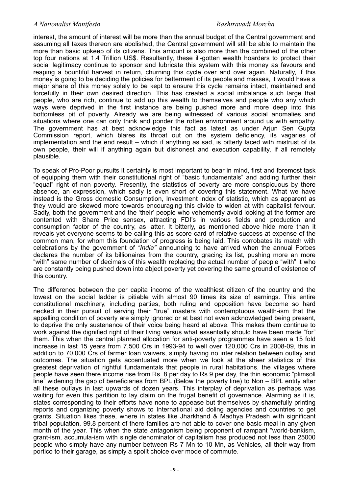interest, the amount of interest will be more than the annual budget of the Central government and assuming all taxes thereon are abolished, the Central government will still be able to maintain the more than basic upkeep of its citizens. This amount is also more than the combined of the other top four nations at 1.4 Trillion US\$. Resultantly, these ill-gotten wealth hoarders to protect their social legitimacy continue to sponsor and lubricate this system with this money as favours and reaping a bountiful harvest in return, churning this cycle over and over again. Naturally, if this money is going to be deciding the policies for betterment of its people and masses, it would have a major share of this money solely to be kept to ensure this cycle remains intact, maintained and forcefully in their own desired direction. This has created a social imbalance such large that people, who are rich, continue to add up this wealth to themselves and people who any which ways were deprived in the first instance are being pushed more and more deep into this bottomless pit of poverty. Already we are being witnessed of various social anomalies and situations where one can only think and ponder the rotten environment around us with empathy. The government has at best acknowledge this fact as latest as under Arjun Sen Gupta Commission report, which blares its throat out on the system deficiency, its vagaries of implementation and the end result – which if anything as sad, is bitterly laced with mistrust of its own people, their will if anything again but dishonest and execution capability, if all remotely plausible.

To speak of Pro-Poor pursuits it certainly is most important to bear in mind, first and foremost task of equipping them with their constitutional right of "basic fundamentals" and adding further their "equal" right of non poverty. Presently, the statistics of poverty are more conspicuous by there absence, an expression, which sadly is even short of covering this statement. What we have instead is the Gross domestic Consumption, Investment index of statistic, which as apparent as they would are skewed more towards encouraging this divide to widen at with capitalist fervour. Sadly, both the government and the 'their' people who vehemently avoid looking at the former are contented with Share Price sensex, attracting FDI's in various fields and production and consumption factor of the country, as latter. It bitterly, as mentioned above hide more than it reveals yet everyone seems to be calling this as score card of relative success at expense of the common man, for whom this foundation of progress is being laid. This corrobates its match with celebrations by the government of *"India"* announcing to have arrived when the annual Forbes declares the number of its billionaires from the country, gracing its list, pushing more an more "with" same number of decimals of this wealth replacing the actual number of people "with" it who are constantly being pushed down into abject poverty yet covering the same ground of existence of this country.

The difference between the per capita income of the wealthiest citizen of the country and the lowest on the social ladder is pitiable with almost 90 times its size of earnings. This entire constitutional machinery, including parties, both ruling and opposition have become so hard necked in their pursuit of serving their "true" masters with contemptuous wealth-ism that the appalling condition of poverty are simply ignored or at best not even acknowledged being present, to deprive the only sustenance of their voice being heard at above. This makes them continue to work against the dignified right of their living versus what essentially should have been made "for" them. This when the central planned allocation for anti-poverty programmes have seen a 15 fold increase in last 15 years from 7,500 Crs in 1993-94 to well over 120,000 Crs in 2008-09, this in addition to 70,000 Crs of farmer loan waivers, simply having no inter relation between outlay and outcomes. The situation gets accentuated more when we look at the sheer statistics of this greatest deprivation of rightful fundamentals that people in rural habitations, the villages where people have seen there income rise from Rs. 8 per day to Rs.9 per day, the thin economic "plimsoll line" widening the gap of beneficiaries from BPL (Below the poverty line) to Non – BPL entity after all these outlays in last upwards of dozen years. This interplay of deprivation as perhaps was waiting for even this partition to lay claim on the frugal benefit of governance. Alarming as it is, states corresponding to their efforts have none to appease but themselves by shamefully printing reports and organizing poverty shows to International aid doling agencies and countries to get grants. Situation likes these, where in states like Jharkhand & Madhya Pradesh with significant tribal population, 99.8 percent of there families are not able to cover one basic meal in any given month of the year. This when the state antagonism being proponent of rampant "world-bankism, grant-ism, accumula-ism with single denominator of capitalism has produced not less than 25000 people who simply have any number between Rs 7 Mn to 10 Mn, as Vehicles, all their way from portico to their garage, as simply a spoilt choice over mode of commute.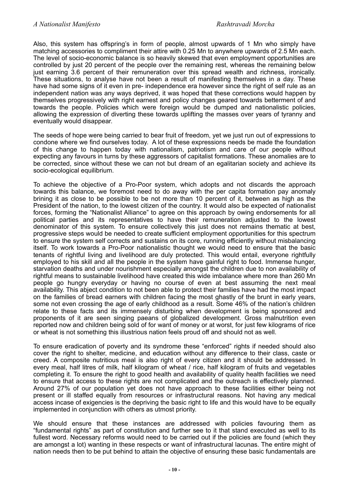Also, this system has offspring's in form of people, almost upwards of 1 Mn who simply have matching accessories to compliment their attire with 0.25 Mn to anywhere upwards of 2.5 Mn each. The level of socio-economic balance is so heavily skewed that even employment opportunities are controlled by just 20 percent of the people over the remaining rest, whereas the remaining below just earning 3.6 percent of their remuneration over this spread wealth and richness, ironically. These situations, to analyse have not been a result of manifesting themselves in a day. These have had some signs of it even in pre- independence era however since the right of self rule as an independent nation was any ways deprived, it was hoped that these corrections would happen by themselves progressively with right earnest and policy changes geared towards betterment of and towards the people. Policies which were foreign would be dumped and nationalistic policies, allowing the expression of diverting these towards uplifting the masses over years of tyranny and eventually would disappear.

The seeds of hope were being carried to bear fruit of freedom, yet we just run out of expressions to condone where we find ourselves today. A lot of these expressions needs be made the foundation of this change to happen today with nationalism, patriotism and care of our people without expecting any favours in turns by these aggressors of capitalist formations. These anomalies are to be corrected, since without these we can not but dream of an egalitarian society and achieve its socio-ecological equilibrium.

To achieve the objective of a Pro-Poor system, which adopts and not discards the approach towards this balance, we foremost need to do away with the per capita formation pay anomaly brining it as close to be possible to be not more than 10 percent of it, between as high as the President of the nation, to the lowest citizen of the country. It would also be expected of nationalist forces, forming the "Nationalist Alliance" to agree on this approach by owing endorsements for all political parties and its representatives to have their remuneration adjusted to the lowest denominator of this system. To ensure collectively this just does not remains thematic at best, progressive steps would be needed to create sufficient employment opportunities for this spectrum to ensure the system self corrects and sustains on its core, running efficiently without misbalancing itself. To work towards a Pro-Poor nationalistic thought we would need to ensure that the basic tenants of rightful living and livelihood are duly protected. This would entail, everyone rightfully employed to his skill and all the people in the system have gainful right to food. Immense hunger, starvation deaths and under nourishment especially amongst the children due to non availability of rightful means to sustainable livelihood have created this wide imbalance where more than 260 Mn people go hungry everyday or having no course of even at best assuming the next meal availability. This abject condition to not been able to protect their families have had the most impact on the families of bread earners with children facing the most ghastly of the brunt in early years, some not even crossing the age of early childhood as a result. Some 46% of the nation's children relate to these facts and its immensely disturbing when development is being sponsored and proponents of it are seen singing paeans of globalized development. Gross malnutrition even reported now and children being sold of for want of money or at worst, for just few kilograms of rice or wheat is not something this illustrious nation feels proud off and should not as well.

To ensure eradication of poverty and its syndrome these "enforced" rights if needed should also cover the right to shelter, medicine, and education without any difference to their class, caste or creed. A composite nutritious meal is also right of every citizen and it should be addressed. In every meal, half litres of milk, half kilogram of wheat / rice, half kilogram of fruits and vegetables completing it. To ensure the right to good health and availability of quality health facilities we need to ensure that access to these rights are not complicated and the outreach is effectively planned. Around 27% of our population yet does not have approach to these facilities either being not present or ill staffed equally from resources or infrastructural reasons. Not having any medical access incase of exigencies is the depriving the basic right to life and this would have to be equally implemented in conjunction with others as utmost priority.

We should ensure that these instances are addressed with policies favouring them as "fundamental rights" as part of constitution and further see to it that stand executed as well to its fullest word. Necessary reforms would need to be carried out if the policies are found (which they are amongst a lot) wanting in these respects or want of infrastructural lacunas. The entire might of nation needs then to be put behind to attain the objective of ensuring these basic fundamentals are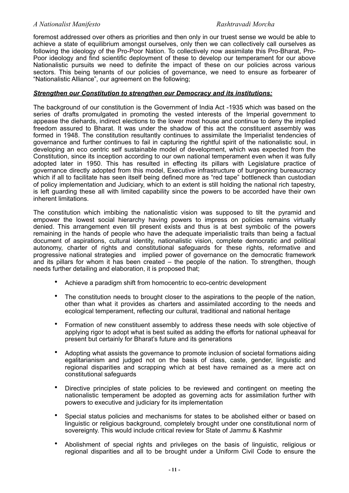foremost addressed over others as priorities and then only in our truest sense we would be able to achieve a state of equilibrium amongst ourselves, only then we can collectively call ourselves as following the ideology of the Pro-Poor Nation. To collectively now assimilate this Pro-Bharat, Pro-Poor ideology and find scientific deployment of these to develop our temperament for our above Nationalistic pursuits we need to definite the impact of these on our policies across various sectors. This being tenants of our policies of governance, we need to ensure as forbearer of "Nationalistic Alliance", our agreement on the following;

## *Strengthen our Constitution to strengthen our Democracy and its institutions:*

The background of our constitution is the Government of India Act -1935 which was based on the series of drafts promulgated in promoting the vested interests of the Imperial government to appease the diehards, indirect elections to the lower most house and continue to deny the implied freedom assured to Bharat. It was under the shadow of this act the constituent assembly was formed in 1948. The constitution resultantly continues to assimilate the Imperialist tendencies of governance and further continues to fail in capturing the rightful spirit of the nationalistic soul, in developing an eco centric self sustainable model of development, which was expected from the Constitution, since its inception according to our own national temperament even when it was fully adopted later in 1950. This has resulted in effecting its pillars with Legislature practice of governance directly adopted from this model, Executive infrastructure of burgeoning bureaucracy which if all to facilitate has seen itself being defined more as "red tape" bottleneck than custodian of policy implementation and Judiciary, which to an extent is still holding the national rich tapestry, is left guarding these all with limited capability since the powers to be accorded have their own inherent limitations.

The constitution which imbibing the nationalistic vision was supposed to tilt the pyramid and empower the lowest social hierarchy having powers to impress on policies remains virtually denied. This arrangement even till present exists and thus is at best symbolic of the powers remaining in the hands of people who have the adequate imperialistic traits than being a factual document of aspirations, cultural identity, nationalistic vision, complete democratic and political autonomy, charter of rights and constitutional safeguards for these rights, reformative and progressive national strategies and implied power of governance on the democratic framework and its pillars for whom it has been created – the people of the nation. To strengthen, though needs further detailing and elaboration, it is proposed that;

- Achieve a paradigm shift from homocentric to eco-centric development
- The constitution needs to brought closer to the aspirations to the people of the nation, other than what it provides as charters and assimilated according to the needs and ecological temperament, reflecting our cultural, traditional and national heritage
- Formation of new constituent assembly to address these needs with sole objective of applying rigor to adopt what is best suited as adding the efforts for national upheaval for present but certainly for Bharat's future and its generations
- Adopting what assists the governance to promote inclusion of societal formations aiding egalitarianism and judged not on the basis of class, caste, gender, linguistic and regional disparities and scrapping which at best have remained as a mere act on constitutional safeguards
- Directive principles of state policies to be reviewed and contingent on meeting the nationalistic temperament be adopted as governing acts for assimilation further with powers to executive and judiciary for its implementation
- Special status policies and mechanisms for states to be abolished either or based on linguistic or religious background, completely brought under one constitutional norm of sovereignty. This would include critical review for State of Jammu & Kashmir
- Abolishment of special rights and privileges on the basis of linguistic, religious or regional disparities and all to be brought under a Uniform Civil Code to ensure the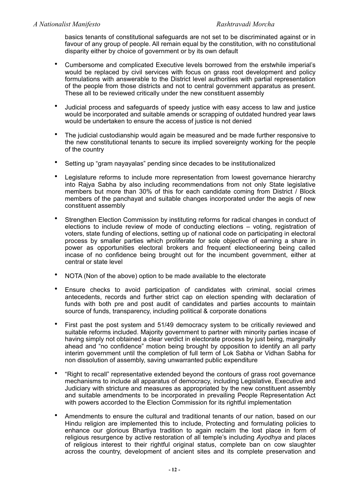basics tenants of constitutional safeguards are not set to be discriminated against or in favour of any group of people. All remain equal by the constitution, with no constitutional disparity either by choice of government or by its own default

- Cumbersome and complicated Executive levels borrowed from the erstwhile imperial's would be replaced by civil services with focus on grass root development and policy formulations with answerable to the District level authorities with partial representation of the people from those districts and not to central government apparatus as present. These all to be reviewed critically under the new constituent assembly
- Judicial process and safeguards of speedy justice with easy access to law and justice would be incorporated and suitable amends or scrapping of outdated hundred year laws would be undertaken to ensure the access of justice is not denied
- The judicial custodianship would again be measured and be made further responsive to the new constitutional tenants to secure its implied sovereignty working for the people of the country
- Setting up "gram nayayalas" pending since decades to be institutionalized
- Legislature reforms to include more representation from lowest governance hierarchy into Rajya Sabha by also including recommendations from not only State legislative members but more than 30% of this for each candidate coming from District / Block members of the panchayat and suitable changes incorporated under the aegis of new constituent assembly
- Strengthen Election Commission by instituting reforms for radical changes in conduct of elections to include review of mode of conducting elections – voting, registration of voters, state funding of elections, setting up of national code on participating in electoral process by smaller parties which proliferate for sole objective of earning a share in power as opportunities electoral brokers and frequent electioneering being called incase of no confidence being brought out for the incumbent government, either at central or state level
- NOTA (Non of the above) option to be made available to the electorate
- Ensure checks to avoid participation of candidates with criminal, social crimes antecedents, records and further strict cap on election spending with declaration of funds with both pre and post audit of candidates and parties accounts to maintain source of funds, transparency, including political & corporate donations
- First past the post system and 51/49 democracy system to be critically reviewed and suitable reforms included. Majority government to partner with minority parties incase of having simply not obtained a clear verdict in electorate process by just being, marginally ahead and "no confidence" motion being brought by opposition to identify an all party interim government until the completion of full term of Lok Sabha or Vidhan Sabha for non dissolution of assembly, saving unwarranted public expenditure
- "Right to recall" representative extended beyond the contours of grass root governance mechanisms to include all apparatus of democracy, including Legislative, Executive and Judiciary with stricture and measures as appropriated by the new constituent assembly and suitable amendments to be incorporated in prevailing People Representation Act with powers accorded to the Election Commission for its rightful implementation
- Amendments to ensure the cultural and traditional tenants of our nation, based on our Hindu religion are implemented this to include, Protecting and formulating policies to enhance our glorious Bhartiya tradition to again reclaim the lost place in form of religious resurgence by active restoration of all temple's including *Ayodhya* and places of religious interest to their rightful original status, complete ban on cow slaughter across the country, development of ancient sites and its complete preservation and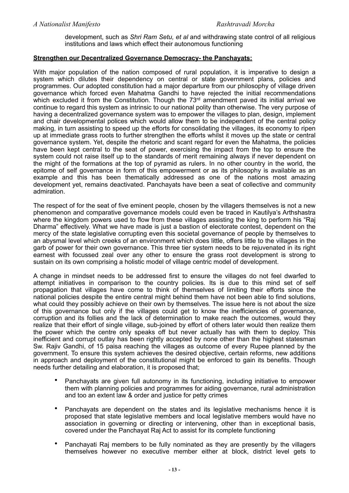development, such as *Shri Ram Setu, et al* and withdrawing state control of all religious institutions and laws which effect their autonomous functioning

# **Strengthen our Decentralized Governance Democracy- the Panchayats:**

With major population of the nation composed of rural population, it is imperative to design a system which dilutes their dependency on central or state government plans, policies and programmes. Our adopted constitution had a major departure from our philosophy of village driven governance which forced even Mahatma Gandhi to have rejected the initial recommendations which excluded it from the Constitution. Though the 73<sup>rd</sup> amendment paved its initial arrival we continue to regard this system as intrinsic to our national polity than otherwise. The very purpose of having a decentralized governance system was to empower the villages to plan, design, implement and chair developmental polices which would allow them to be independent of the central policy making, in turn assisting to speed up the efforts for consolidating the villages, its economy to ripen up at immediate grass roots to further strengthen the efforts whilst it moves up the state or central governance system. Yet, despite the rhetoric and scant regard for even the Mahatma, the policies have been kept central to the seat of power, exercising the impact from the top to ensure the system could not raise itself up to the standards of merit remaining always if never dependent on the might of the formations at the top of pyramid as rulers. In no other country in the world, the epitome of self governance in form of this empowerment or as its philosophy is available as an example and this has been thematically addressed as one of the nations most amazing development yet, remains deactivated. Panchayats have been a seat of collective and community admiration.

The respect of for the seat of five eminent people, chosen by the villagers themselves is not a new phenomenon and comparative governance models could even be traced in Kautilya's Arthshastra where the kingdom powers used to flow from these villages assisting the king to perform his "Raj Dharma" effectively. What we have made is just a bastion of electorate contest, dependent on the mercy of the state legislative corrupting even this societal governance of people by themselves to an abysmal level which creeks of an environment which does little, offers little to the villages in the garb of power for their own governance. This three tier system needs to be rejuvenated in its right earnest with focussed zeal over any other to ensure the grass root development is strong to sustain on its own comprising a holistic model of village centric model of development.

A change in mindset needs to be addressed first to ensure the villages do not feel dwarfed to attempt initiatives in comparison to the country policies. Its is due to this mind set of self propagation that villages have come to think of themselves of limiting their efforts since the national policies despite the entire central might behind them have not been able to find solutions, what could they possibly achieve on their own by themselves. The issue here is not about the size of this governance but only if the villages could get to know the inefficiencies of governance, corruption and its follies and the lack of determination to make reach the outcomes, would they realize that their effort of single village, sub-joined by effort of others later would then realize them the power which the centre only speaks off but never actually has with them to deploy. This inefficient and corrupt outlay has been rightly accepted by none other than the highest statesman Sw. Rajiv Gandhi, of 15 paisa reaching the villages as outcome of every Rupee planned by the government. To ensure this system achieves the desired objective, certain reforms, new additions in approach and deployment of the constitutional might be enforced to gain its benefits. Though needs further detailing and elaboration, it is proposed that;

- Panchayats are given full autonomy in its functioning, including initiative to empower them with planning policies and programmes for aiding governance, rural administration and too an extent law & order and justice for petty crimes
- Panchayats are dependent on the states and its legislative mechanisms hence it is proposed that state legislative members and local legislative members would have no association in governing or directing or intervening, other than in exceptional basis, covered under the Panchayat Raj Act to assist for its complete functioning
- Panchayati Raj members to be fully nominated as they are presently by the villagers themselves however no executive member either at block, district level gets to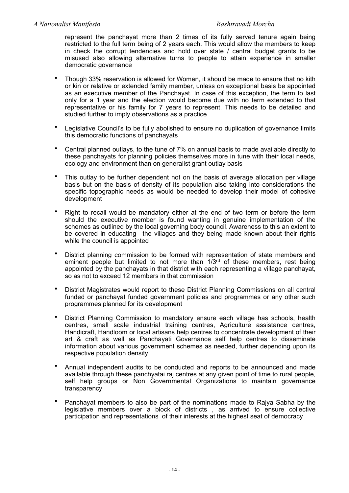represent the panchayat more than 2 times of its fully served tenure again being restricted to the full term being of 2 years each. This would allow the members to keep in check the corrupt tendencies and hold over state / central budget grants to be misused also allowing alternative turns to people to attain experience in smaller democratic governance

- Though 33% reservation is allowed for Women, it should be made to ensure that no kith or kin or relative or extended family member, unless on exceptional basis be appointed as an executive member of the Panchayat. In case of this exception, the term to last only for a 1 year and the election would become due with no term extended to that representative or his family for 7 years to represent. This needs to be detailed and studied further to imply observations as a practice
- Legislative Council's to be fully abolished to ensure no duplication of governance limits this democratic functions of panchayats
- Central planned outlays, to the tune of 7% on annual basis to made available directly to these panchayats for planning policies themselves more in tune with their local needs, ecology and environment than on generalist grant outlay basis
- This outlay to be further dependent not on the basis of average allocation per village basis but on the basis of density of its population also taking into considerations the specific topographic needs as would be needed to develop their model of cohesive development
- Right to recall would be mandatory either at the end of two term or before the term should the executive member is found wanting in genuine implementation of the schemes as outlined by the local governing body council. Awareness to this an extent to be covered in educating the villages and they being made known about their rights while the council is appointed
- District planning commission to be formed with representation of state members and eminent people but limited to not more than 1/3<sup>rd</sup> of these members, rest being appointed by the panchayats in that district with each representing a village panchayat, so as not to exceed 12 members in that commission
- District Magistrates would report to these District Planning Commissions on all central funded or panchayat funded government policies and programmes or any other such programmes planned for its development
- District Planning Commission to mandatory ensure each village has schools, health centres, small scale industrial training centres, Agriculture assistance centres, Handicraft, Handloom or local artisans help centres to concentrate development of their art & craft as well as Panchayati Governance self help centres to disseminate information about various government schemes as needed, further depending upon its respective population density
- Annual independent audits to be conducted and reports to be announced and made available through these panchyatai raj centres at any given point of time to rural people, self help groups or Non Governmental Organizations to maintain governance transparency
- Panchayat members to also be part of the nominations made to Rajya Sabha by the legislative members over a block of districts , as arrived to ensure collective participation and representations of their interests at the highest seat of democracy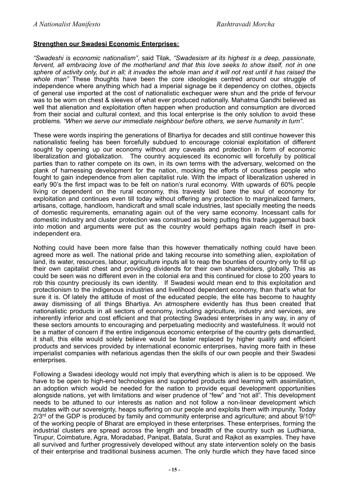# **Strengthen our Swadesi Economic Enterprises:**

*"Swadeshi is economic nationalism"*, said Tilak, *"Swadesism at its highest is a deep, passionate, fervent, all embracing love of the motherland and that this love seeks to show itself, not in one sphere of activity only, but in all; it invades the whole man and it will not rest until it has raised the whole man"* These thoughts have been the core ideologies centred around our struggle of independence where anything which had a imperial signage be it dependency on clothes, objects of general use imported at the cost of nationalistic exchequer were shun and the pride of fervour was to be worn on chest & sleeves of what ever produced nationally. Mahatma Gandhi believed as well that alienation and exploitation often happen when production and consumption are divorced from their social and cultural context, and this local enterprise is the only solution to avoid these problems. *"When we serve our immediate neighbour before others, we serve humanity in turn"*.

These were words inspiring the generations of Bhartiya for decades and still continue however this nationalistic feeling has been forcefully subdued to encourage colonial exploitation of different sought by opening up our economy without any caveats and protection in form of economic liberalization and globalization. The country acquiesced its economic will forcefully by political parties than to rather compete on its own, in its own terms with the adversary, welcomed on the plank of harnessing development for the nation, mocking the efforts of countless people who fought to gain independence from alien capitalist rule. With the impact of liberalization ushered in early 90's the first impact was to be felt on nation's rural economy. With upwards of 60% people living or dependent on the rural economy, this travesty laid bare the soul of economy for exploitation and continues even till today without offering any protection to marginalized farmers, artisans, cottage, handloom, handicraft and small scale industries, last specially meeting the needs of domestic requirements, emanating again out of the very same economy. Incessant calls for domestic industry and cluster protection was construed as being putting this trade juggernaut back into motion and arguments were put as the country would perhaps again reach itself in preindependent era.

Nothing could have been more false than this however thematically nothing could have been agreed more as well. The national pride and taking recourse into something alien, exploitation of land, its water, resources, labour, agriculture inputs all to reap the bounties of country only to fill up their own capitalist chest and providing dividends for their own shareholders, globally. This as could be seen was no different even in the colonial era and this continued for close to 200 years to rob this country preciously its own identity. If Swadesi would mean end to this exploitation and protectionism to the indigenous industries and livelihood dependent economy, than that's what for sure it is. Of lately the attitude of most of the educated people, the elite has become to haughty away dismissing of all things Bhartiya. An atmosphere evidently has thus been created that nationalistic products in all sectors of economy, including agriculture, industry and services, are inherently inferior and cost efficient and that protecting Swadesi enterprises in any way, in any of these sectors amounts to encouraging and perpetuating mediocrity and wastefulness. It would not be a matter of concern if the entire indigenous economic enterprise of the country gets dismantled, it shall, this elite would solely believe would be faster replaced by higher quality and efficient products and services provided by international economic enterprises, having more faith in these imperialist companies with nefarious agendas then the skills of our own people and their Swadesi enterprises.

Following a Swadesi ideology would not imply that everything which is alien is to be opposed. We have to be open to high-end technologies and supported products and learning with assimilation, an adoption which would be needed for the nation to provide equal development opportunities alongside nations, yet with limitations and wiser prudence of "few" and "not all". This development needs to be attuned to our interests as nation and not follow a non-linear development which mutates with our sovereignty, heaps suffering on our people and exploits them with impunity. Today  $2/3$ <sup>rd</sup> of the GDP is produced by family and community enterprise and agriculture; and about  $9/10<sup>th</sup>$ of the working people of Bharat are employed in these enterprises. These enterprises, forming the industrial clusters are spread across the length and breadth of the country such as Ludhiana, Tirupur, Coimbature, Agra, Moradabad, Panipat, Batala, Surat and Rajkot as examples. They have all survived and further progressively developed without any state intervention solely on the basis of their enterprise and traditional business acumen. The only hurdle which they have faced since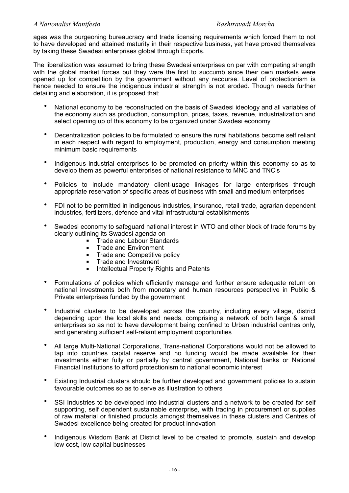ages was the burgeoning bureaucracy and trade licensing requirements which forced them to not to have developed and attained maturity in their respective business, yet have proved themselves by taking these Swadesi enterprises global through Exports.

The liberalization was assumed to bring these Swadesi enterprises on par with competing strength with the global market forces but they were the first to succumb since their own markets were opened up for competition by the government without any recourse. Level of protectionism is hence needed to ensure the indigenous industrial strength is not eroded. Though needs further detailing and elaboration, it is proposed that;

- National economy to be reconstructed on the basis of Swadesi ideology and all variables of the economy such as production, consumption, prices, taxes, revenue, industrialization and select opening up of this economy to be organized under Swadesi economy
- Decentralization policies to be formulated to ensure the rural habitations become self reliant in each respect with regard to employment, production, energy and consumption meeting minimum basic requirements
- Indigenous industrial enterprises to be promoted on priority within this economy so as to develop them as powerful enterprises of national resistance to MNC and TNC's
- Policies to include mandatory client-usage linkages for large enterprises through appropriate reservation of specific areas of business with small and medium enterprises
- FDI not to be permitted in indigenous industries, insurance, retail trade, agrarian dependent industries, fertilizers, defence and vital infrastructural establishments
- Swadesi economy to safeguard national interest in WTO and other block of trade forums by clearly outlining its Swadesi agenda on
	- **F** Trade and Labour Standards
	- **Trade and Environment**
	- **Trade and Competitive policy**
	- **Trade and Investment**
	- **Intellectual Property Rights and Patents**
- Formulations of policies which efficiently manage and further ensure adequate return on national investments both from monetary and human resources perspective in Public & Private enterprises funded by the government
- Industrial clusters to be developed across the country, including every village, district depending upon the local skills and needs, comprising a network of both large & small enterprises so as not to have development being confined to Urban industrial centres only, and generating sufficient self-reliant employment opportunities
- All large Multi-National Corporations, Trans-national Corporations would not be allowed to tap into countries capital reserve and no funding would be made available for their investments either fully or partially by central government, National banks or National Financial Institutions to afford protectionism to national economic interest
- Existing Industrial clusters should be further developed and government policies to sustain favourable outcomes so as to serve as illustration to others
- SSI Industries to be developed into industrial clusters and a network to be created for self supporting, self dependent sustainable enterprise, with trading in procurement or supplies of raw material or finished products amongst themselves in these clusters and Centres of Swadesi excellence being created for product innovation
- Indigenous Wisdom Bank at District level to be created to promote, sustain and develop low cost, low capital businesses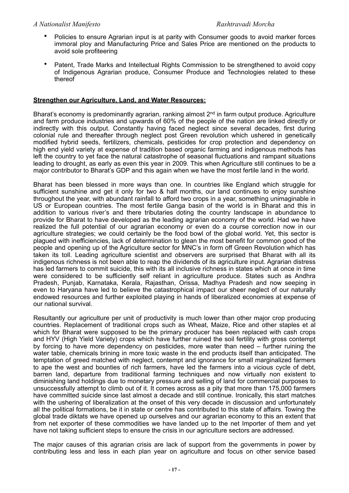- Policies to ensure Agrarian input is at parity with Consumer goods to avoid marker forces immoral ploy and Manufacturing Price and Sales Price are mentioned on the products to avoid sole profiteering
- Patent, Trade Marks and Intellectual Rights Commission to be strengthened to avoid copy of Indigenous Agrarian produce, Consumer Produce and Technologies related to these thereof

# **Strengthen our Agriculture, Land, and Water Resources:**

Bharat's economy is predominantly agrarian, ranking almost 2<sup>nd</sup> in farm output produce. Agriculture and farm produce industries and upwards of 60% of the people of the nation are linked directly or indirectly with this output. Constantly having faced neglect since several decades, first during colonial rule and thereafter through neglect post Green revolution which ushered in genetically modified hybrid seeds, fertilizers, chemicals, pesticides for crop protection and dependency on high end yield variety at expense of tradition based organic farming and indigenous methods has left the country to yet face the natural catastrophe of seasonal fluctuations and rampant situations leading to drought, as early as even this year in 2009. This when Agriculture still continues to be a major contributor to Bharat's GDP and this again when we have the most fertile land in the world.

Bharat has been blessed in more ways than one. In countries like England which struggle for sufficient sunshine and get it only for two & half months, our land continues to enjoy sunshine throughout the year, with abundant rainfall to afford two crops in a year, something unimaginable in US or European countries. The most fertile Ganga basin of the world is in Bharat and this in addition to various river's and there tributaries doting the country landscape in abundance to provide for Bharat to have developed as the leading agrarian economy of the world. Had we have realized the full potential of our agrarian economy or even do a course correction now in our agriculture strategies; we could certainly be the food bowl of the global world. Yet, this sector is plagued with inefficiencies, lack of determination to glean the most benefit for common good of the people and opening up of the Agriculture sector for MNC's in form off Green Revolution which has taken its toll. Leading agriculture scientist and observers are surprised that Bharat with all its indigenous richness is not been able to reap the dividends of its agriculture input. Agrarian distress has led farmers to commit suicide, this with its all inclusive richness in states which at once in time were considered to be sufficiently self reliant in agriculture produce. States such as Andhra Pradesh, Punjab, Karnataka, Kerala, Rajasthan, Orissa, Madhya Pradesh and now seeping in even to Haryana have led to believe the catastrophical impact our sheer neglect of our naturally endowed resources and further exploited playing in hands of liberalized economies at expense of our national survival.

Resultantly our agriculture per unit of productivity is much lower than other major crop producing countries. Replacement of traditional crops such as Wheat, Maize, Rice and other staples et al which for Bharat were supposed to be the primary producer has been replaced with cash crops and HYV (High Yield Variety) crops which have further ruined the soil fertility with gross contempt by forcing to have more dependency on pesticides, more water than need – further ruining the water table, chemicals brining in more toxic waste in the end products itself than anticipated. The temptation of greed matched with neglect, contempt and ignorance for small marginalized farmers to ape the west and bounties of rich farmers, have led the farmers into a vicious cycle of debt, barren land, departure from traditional farming techniques and now virtually non existent to diminishing land holdings due to monetary pressure and selling of land for commercial purposes to unsuccessfully attempt to climb out of it. It comes across as a pity that more than 175,000 farmers have committed suicide since last almost a decade and still continue. Ironically, this start matches with the ushering of liberalization at the onset of this very decade in discussion and unfortunately all the political formations, be it in state or centre has contributed to this state of affairs. Towing the global trade diktats we have opened up ourselves and our agrarian economy to this an extent that from net exporter of these commodities we have landed up to the net Importer of them and yet have not taking sufficient steps to ensure the crisis in our agriculture sectors are addressed.

The major causes of this agrarian crisis are lack of support from the governments in power by contributing less and less in each plan year on agriculture and focus on other service based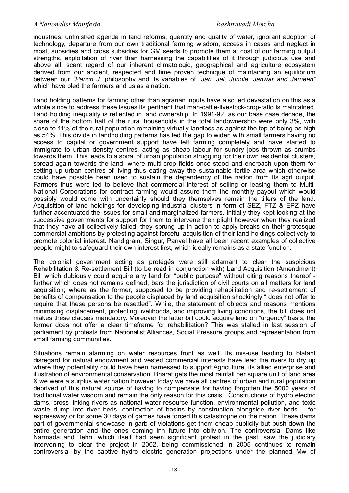industries, unfinished agenda in land reforms, quantity and quality of water, ignorant adoption of technology, departure from our own traditional farming wisdom, access in cases and neglect in most, subsidies and cross subsidies for GM seeds to promote them at cost of our farming output strengths, exploitation of river than harnessing the capabilities of it through judicious use and above all, scant regard of our inherent climatologic, geographical and agriculture ecosystem derived from our ancient, respected and time proven technique of maintaining an equilibrium between our *"Panch J"* philosophy and its variables of *"Jan, Jal, Jungle, Janwar and Jameen"* which have bled the farmers and us as a nation.

Land holding patterns for farming other than agrarian inputs have also led devastation on this as a whole since to address these issues its pertinent that man-cattle-livestock-crop-ratio is maintained. Land holding inequality is reflected in land ownership. In 1991-92, as our base case decade, the share of the bottom half of the rural households in the total landownership were only 3%, with close to 11% of the rural population remaining virtually landless as against the top of being as high as 54%. This divide in landholding patterns has led the gap to widen with small farmers having no access to capital or government support have left farming completely and have started to immigrate to urban density centres, acting as cheap labour for sundry jobs thrown as crumbs towards them. This leads to a spiral of urban population struggling for their own residential clusters, spread again towards the land, where multi-crop fields once stood and encroach upon them for setting up urban centres of living thus eating away the sustainable fertile area which otherwise could have possible been used to sustain the dependency of the nation from its agri output. Farmers thus were led to believe that commercial interest of selling or leasing them to Multi-National Corporations for contract farming would assure them the monthly payout which would possibly would come with uncertainly should they themselves remain the tillers of the land. Acquisition of land holdings for developing industrial clusters in form of SEZ, FTZ & EPZ have further accentuated the issues for small and marginalized farmers. Initially they kept looking at the successive governments for support for them to intervene their plight however when they realized that they have all collectively failed, they sprung up in action to apply breaks on their grotesque commercial ambitions by protesting against forceful acquisition of their land holdings collectively to promote colonial interest. Nandigram, Singur, Panvel have all been recent examples of collective people might to safeguard their own interest first, which ideally remains as a state function.

The colonial government acting as protégés were still adamant to clear the suspicious Rehabilitation & Re-settlement Bill (to be read in conjunction with) Land Acquisition (Amendment) Bill which dubiously could acquire any land for "public purpose" without citing reasons thereof further which does not remains defined, bars the jurisdiction of civil courts on all matters for land acquisition; where as the former, supposed to be providing rehabilitation and re-settlement of benefits of compensation to the people displaced by land acquisition shockingly " does not offer to require that these persons be resettled". While, the statement of objects and reasons mentions minimising displacement, protecting livelihoods, and improving living conditions, the bill does not makes these clauses mandatory. Moreover the latter bill could acquire land on "urgency" basis; the former does not offer a clear timeframe for rehabilitation? This was stalled in last session of parliament by protests from Nationalist Alliances, Social Pressure groups and representation from small farming communities.

Situations remain alarming on water resources front as well. Its mis-use leading to blatant disregard for natural endowment and vested commercial interests have lead the rivers to dry up where they potentiality could have been harnessed to support Agriculture, its allied enterprise and illustration of environmental conservation. Bharat gets the most rainfall per square unit of land area & we were a surplus water nation however today we have all centres of urban and rural population deprived of this natural source of having to compensate for having forgotten the 5000 years of traditional water wisdom and remain the only reason for this crisis. Constructions of hydro electric dams, cross linking rivers as national water resource function, environmental pollution, and toxic waste dump into river beds, contraction of basins by construction alongside river beds – for expressway or for some 30 days of games have forced this catastrophe on the nation. These dams part of governmental showcase in garb of violations get them cheap publicity but push down the entire generation and the ones coming inn future into oblivion. The controversial Dams like Narmada and Tehri, which itself had seen significant protest in the past, saw the judiciary intervening to clear the project in 2002, being commissioned in 2005 continues to remain controversial by the captive hydro electric generation projections under the planned Mw of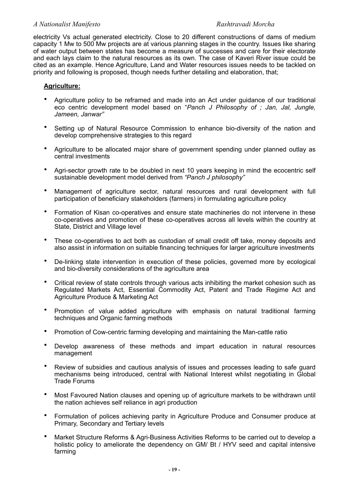electricity Vs actual generated electricity. Close to 20 different constructions of dams of medium capacity 1 Mw to 500 Mw projects are at various planning stages in the country. Issues like sharing of water output between states has become a measure of successes and care for their electorate and each lays claim to the natural resources as its own. The case of Kaveri River issue could be cited as an example. Hence Agriculture, Land and Water resources issues needs to be tackled on priority and following is proposed, though needs further detailing and elaboration, that;

### **Agriculture:**

- Agriculture policy to be reframed and made into an Act under guidance of our traditional eco centric development model based on "*Panch J Philosophy of ; Jan, Jal, Jungle, Jameen, Janwar"*
- Setting up of Natural Resource Commission to enhance bio-diversity of the nation and develop comprehensive strategies to this regard
- Agriculture to be allocated major share of government spending under planned outlay as central investments
- Agri-sector growth rate to be doubled in next 10 years keeping in mind the ecocentric self sustainable development model derived from *"Panch J philosophy"*
- Management of agriculture sector, natural resources and rural development with full participation of beneficiary stakeholders (farmers) in formulating agriculture policy
- Formation of Kisan co-operatives and ensure state machineries do not intervene in these co-operatives and promotion of these co-operatives across all levels within the country at State, District and Village level
- These co-operatives to act both as custodian of small credit off take, money deposits and also assist in information on suitable financing techniques for larger agriculture investments
- De-linking state intervention in execution of these policies, governed more by ecological and bio-diversity considerations of the agriculture area
- Critical review of state controls through various acts inhibiting the market cohesion such as Regulated Markets Act, Essential Commodity Act, Patent and Trade Regime Act and Agriculture Produce & Marketing Act
- Promotion of value added agriculture with emphasis on natural traditional farming techniques and Organic farming methods
- Promotion of Cow-centric farming developing and maintaining the Man-cattle ratio
- Develop awareness of these methods and impart education in natural resources management
- Review of subsidies and cautious analysis of issues and processes leading to safe guard mechanisms being introduced, central with National Interest whilst negotiating in Global Trade Forums
- Most Favoured Nation clauses and opening up of agriculture markets to be withdrawn until the nation achieves self reliance in agri production
- Formulation of polices achieving parity in Agriculture Produce and Consumer produce at Primary, Secondary and Tertiary levels
- Market Structure Reforms & Agri-Business Activities Reforms to be carried out to develop a holistic policy to ameliorate the dependency on GM/ Bt / HYV seed and capital intensive farming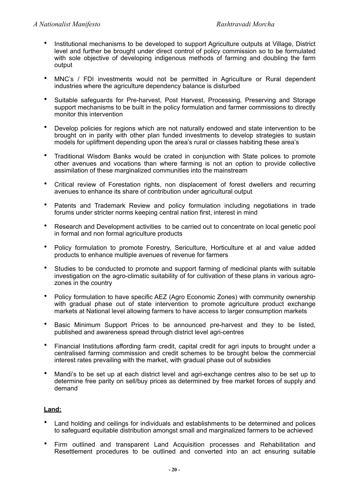- Institutional mechanisms to be developed to support Agriculture outputs at Village, District level and further be brought under direct control of policy commission so to be formulated with sole objective of developing indigenous methods of farming and doubling the farm output
- MNC's / FDI investments would not be permitted in Agriculture or Rural dependent industries where the agriculture dependency balance is disturbed
- Suitable safeguards for Pre-harvest, Post Harvest, Processing, Preserving and Storage support mechanisms to be built in the policy formulation and farmer commissions to directly monitor this intervention
- Develop policies for regions which are not naturally endowed and state intervention to be brought on in parity with other plan funded investments to develop strategies to sustain models for upliftment depending upon the area's rural or classes habiting these area's
- Traditional Wisdom Banks would be crated in conjunction with State polices to promote other avenues and vocations than where farming is not an option to provide collective assimilation of these marginalized communities into the mainstream
- Critical review of Forestation rights, non displacement of forest dwellers and recurring avenues to enhance its share of contribution under agricultural output
- Patents and Trademark Review and policy formulation including negotiations in trade forums under stricter norms keeping central nation first, interest in mind
- Research and Development activities to be carried out to concentrate on local genetic pool in formal and non formal agriculture products
- Policy formulation to promote Forestry, Sericulture, Horticulture et al and value added products to enhance multiple avenues of revenue for farmers
- Studies to be conducted to promote and support farming of medicinal plants with suitable investigation on the agro-climatic suitability of for cultivation of these plans in various agrozones in the country
- Policy formulation to have specific AEZ (Agro Economic Zones) with community ownership with gradual phase out of state intervention to promote agriculture product exchange markets at National level allowing farmers to have access to larger consumption markets
- Basic Minimum Support Prices to be announced pre-harvest and they to be listed, published and awareness spread through district level agri-centres
- Financial Institutions affording farm credit, capital credit for agri inputs to brought under a centralised farming commission and credit schemes to be brought below the commercial interest rates prevailing with the market, with gradual phase out of subsidies
- Mandi's to be set up at each district level and agri-exchange centres also to be set up to determine free parity on sell/buy prices as determined by free market forces of supply and demand

# **Land:**

- Land holding and ceilings for individuals and establishments to be determined and polices to safeguard equitable distribution amongst small and marginalized farmers to be achieved
- Firm outlined and transparent Land Acquisition processes and Rehabilitation and Resettlement procedures to be outlined and converted into an act ensuring suitable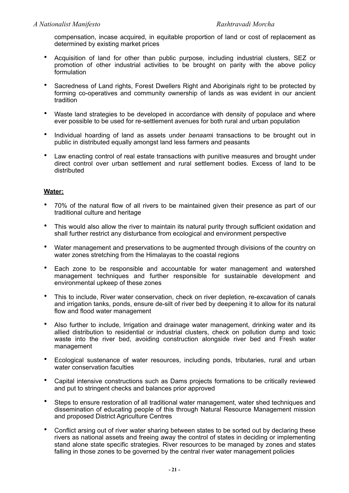compensation, incase acquired, in equitable proportion of land or cost of replacement as determined by existing market prices

- Acquisition of land for other than public purpose, including industrial clusters, SEZ or promotion of other industrial activities to be brought on parity with the above policy formulation
- Sacredness of Land rights, Forest Dwellers Right and Aboriginals right to be protected by forming co-operatives and community ownership of lands as was evident in our ancient tradition
- Waste land strategies to be developed in accordance with density of populace and where ever possible to be used for re-settlement avenues for both rural and urban population
- Individual hoarding of land as assets under *benaam*i transactions to be brought out in public in distributed equally amongst land less farmers and peasants
- Law enacting control of real estate transactions with punitive measures and brought under direct control over urban settlement and rural settlement bodies. Excess of land to be distributed

# **Water:**

- 70% of the natural flow of all rivers to be maintained given their presence as part of our traditional culture and heritage
- This would also allow the river to maintain its natural purity through sufficient oxidation and shall further restrict any disturbance from ecological and environment perspective
- Water management and preservations to be augmented through divisions of the country on water zones stretching from the Himalayas to the coastal regions
- Each zone to be responsible and accountable for water management and watershed management techniques and further responsible for sustainable development and environmental upkeep of these zones
- This to include, River water conservation, check on river depletion, re-excavation of canals and irrigation tanks, ponds, ensure de-silt of river bed by deepening it to allow for its natural flow and flood water management
- Also further to include, Irrigation and drainage water management, drinking water and its allied distribution to residential or industrial clusters, check on pollution dump and toxic waste into the river bed, avoiding construction alongside river bed and Fresh water management
- Ecological sustenance of water resources, including ponds, tributaries, rural and urban water conservation faculties
- Capital intensive constructions such as Dams projects formations to be critically reviewed and put to stringent checks and balances prior approved
- Steps to ensure restoration of all traditional water management, water shed techniques and dissemination of educating people of this through Natural Resource Management mission and proposed District Agriculture Centres
- Conflict arsing out of river water sharing between states to be sorted out by declaring these rivers as national assets and freeing away the control of states in deciding or implementing stand alone state specific strategies. River resources to be managed by zones and states falling in those zones to be governed by the central river water management policies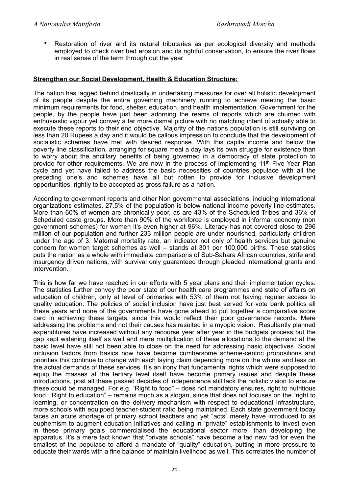• Restoration of river and its natural tributaries as per ecological diversity and methods employed to check river bed erosion and its rightful conservation, to ensure the river flows in real sense of the term through out the year

# **Strengthen our Social Development, Health & Education Structure:**

The nation has lagged behind drastically in undertaking measures for over all holistic development of its people despite the entire governing machinery running to achieve meeting the basic minimum requirements for food, shelter, education, and health implementation. Government for the people, by the people have just been adorning the reams of reports which are churned with enthusiastic vigour yet convey a far more dismal picture with no matching intent of actually able to execute these reports to their end objective. Majority of the nations population is still surviving on less than 20 Rupees a day and it would be callous impression to conclude that the development of socialistic schemes have met with desired response. With this capita income and below the poverty line classification, arranging for square meal a day lays its own struggle for existence than to worry about the ancillary benefits of being governed in a democracy of state protection to provide for other requirements. We are now in the process of implementing 11<sup>th</sup> Five Year Plan cycle and yet have failed to address the basic necessities of countries populace with all the preceding one's and schemes have all but rotten to provide for inclusive development opportunities, rightly to be accepted as gross failure as a nation.

According to government reports and other Non governmental associations, including international organizations estimates, 27.5% of the population is below national income poverty line estimates. More than 60% of women are chronically poor, as are 43% of the Scheduled Tribes and 36% of Scheduled caste groups. More than 90% of the workforce is employed in informal economy (non government schemes) for women it's even higher at 96%. Literacy has not covered close to 296 million of our population and further 233 million people are under nourished, particularly children under the age of 3. Maternal mortality rate, an indicator not only of health services but genuine concern for women target schemes as well – stands at 301 per 100,000 births. These statistics puts the nation as a whole with immediate comparisons of Sub-Sahara African countries, strife and insurgency driven nations, with survival only guaranteed through pleaded international grants and intervention.

This is how far we have reached in our efforts with 5 year plans and their implementation cycles. The statistics further convey the poor state of our health care programmes and state of affairs on education of children, only at level of primaries with 53% of them not having regular access to quality education. The policies of social inclusion have just best served for vote bank politics all these years and none of the governments have gone ahead to put together a comparative score card in achieving these targets, since this would reflect their poor governance records. Mere addressing the problems and not their causes has resulted in a myopic vision. Resultantly planned expenditures have increased without any recourse year after year in the budgets process but the gap kept widening itself as well and mere multiplication of these allocations to the demand at the basic level have still not been able to close on the need for addressing basic objectives. Social inclusion factors from basics now have become cumbersome scheme-centric propositions and priorities this continue to change with each laying claim depending more on the whims and less on the actual demands of these services. It's an irony that fundamental rights which were supposed to equip the masses at the tertiary level itself have become primary issues and despite these introductions, post all these passed decades of independence still lack the holistic vision to ensure these could be managed. For e.g. "Right to food" – does not mandatory ensures, right to nutritious food. "Right to education" – remains much as a slogan, since that does not focuses on the "right to learning, or concentration on the delivery mechanism with respect to educational infrastructure, more schools with equipped teacher-student ratio being maintained. Each state government today faces an acute shortage of primary school teachers and yet "acts" merely have introduced to as euphemism to augment education initiatives and calling in "private" establishments to invest even in these primary goals commercialised the educational sector more, than developing the apparatus. It's a mere fact known that "private schools" have become a tad new fad for even the smallest of the populace to afford a mandate of "quality" education, putting in more pressure to educate their wards with a fine balance of maintain livelihood as well. This correlates the number of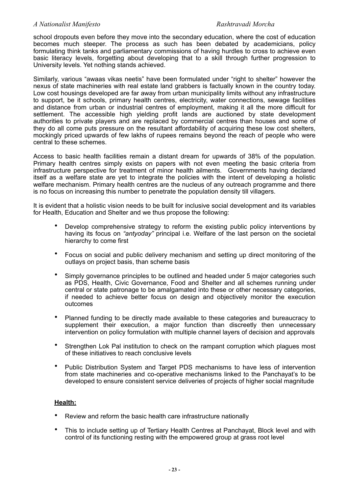school dropouts even before they move into the secondary education, where the cost of education becomes much steeper. The process as such has been debated by academicians, policy formulating think tanks and parliamentary commissions of having hurdles to cross to achieve even basic literacy levels, forgetting about developing that to a skill through further progression to University levels. Yet nothing stands achieved.

Similarly, various "awaas vikas neetis" have been formulated under "right to shelter" however the nexus of state machineries with real estate land grabbers is factually known in the country today. Low cost housings developed are far away from urban municipality limits without any infrastructure to support, be it schools, primary health centres, electricity, water connections, sewage facilities and distance from urban or industrial centres of employment, making it all the more difficult for settlement. The accessible high yielding profit lands are auctioned by state development authorities to private players and are replaced by commercial centres than houses and some of they do all come puts pressure on the resultant affordability of acquiring these low cost shelters, mockingly priced upwards of few lakhs of rupees remains beyond the reach of people who were central to these schemes.

Access to basic health facilities remain a distant dream for upwards of 38% of the population. Primary health centres simply exists on papers with not even meeting the basic criteria from infrastructure perspective for treatment of minor health ailments. Governments having declared itself as a welfare state are yet to integrate the policies with the intent of developing a holistic welfare mechanism. Primary health centres are the nucleus of any outreach programme and there is no focus on increasing this number to penetrate the population density till villagers.

It is evident that a holistic vision needs to be built for inclusive social development and its variables for Health, Education and Shelter and we thus propose the following:

- Develop comprehensive strategy to reform the existing public policy interventions by having its focus on *"antyoday"* principal i.e. Welfare of the last person on the societal hierarchy to come first
- Focus on social and public delivery mechanism and setting up direct monitoring of the outlays on project basis, than scheme basis
- Simply governance principles to be outlined and headed under 5 major categories such as PDS, Health, Civic Governance, Food and Shelter and all schemes running under central or state patronage to be amalgamated into these or other necessary categories, if needed to achieve better focus on design and objectively monitor the execution outcomes
- Planned funding to be directly made available to these categories and bureaucracy to supplement their execution, a major function than discreetly then unnecessary intervention on policy formulation with multiple channel layers of decision and approvals
- Strengthen Lok Pal institution to check on the rampant corruption which plagues most of these initiatives to reach conclusive levels
- Public Distribution System and Target PDS mechanisms to have less of intervention from state machineries and co-operative mechanisms linked to the Panchayat's to be developed to ensure consistent service deliveries of projects of higher social magnitude

# **Health:**

- Review and reform the basic health care infrastructure nationally
- This to include setting up of Tertiary Health Centres at Panchayat, Block level and with control of its functioning resting with the empowered group at grass root level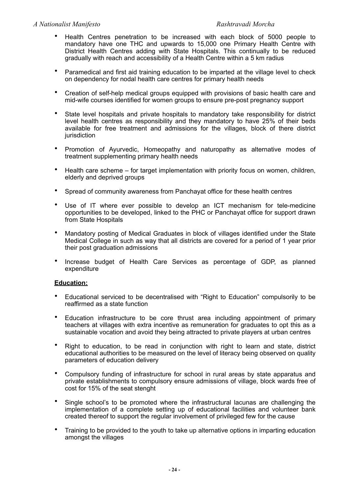- Health Centres penetration to be increased with each block of 5000 people to mandatory have one THC and upwards to 15,000 one Primary Health Centre with District Health Centres adding with State Hospitals. This continually to be reduced gradually with reach and accessibility of a Health Centre within a 5 km radius
- Paramedical and first aid training education to be imparted at the village level to check on dependency for nodal health care centres for primary health needs
- Creation of self-help medical groups equipped with provisions of basic health care and mid-wife courses identified for women groups to ensure pre-post pregnancy support
- State level hospitals and private hospitals to mandatory take responsibility for district level health centres as responsibility and they mandatory to have 25% of their beds available for free treatment and admissions for the villages, block of there district jurisdiction
- Promotion of Ayurvedic, Homeopathy and naturopathy as alternative modes of treatment supplementing primary health needs
- Health care scheme for target implementation with priority focus on women, children, elderly and deprived groups
- Spread of community awareness from Panchayat office for these health centres
- Use of IT where ever possible to develop an ICT mechanism for tele-medicine opportunities to be developed, linked to the PHC or Panchayat office for support drawn from State Hospitals
- Mandatory posting of Medical Graduates in block of villages identified under the State Medical College in such as way that all districts are covered for a period of 1 year prior their post graduation admissions
- Increase budget of Health Care Services as percentage of GDP, as planned expenditure

# **Education:**

- Educational serviced to be decentralised with "Right to Education" compulsorily to be reaffirmed as a state function
- Education infrastructure to be core thrust area including appointment of primary teachers at villages with extra incentive as remuneration for graduates to opt this as a sustainable vocation and avoid they being attracted to private players at urban centres
- Right to education, to be read in conjunction with right to learn and state, district educational authorities to be measured on the level of literacy being observed on quality parameters of education delivery
- Compulsory funding of infrastructure for school in rural areas by state apparatus and private establishments to compulsory ensure admissions of village, block wards free of cost for 15% of the seat stenght
- Single school's to be promoted where the infrastructural lacunas are challenging the implementation of a complete setting up of educational facilities and volunteer bank created thereof to support the regular involvement of privileged few for the cause
- Training to be provided to the youth to take up alternative options in imparting education amongst the villages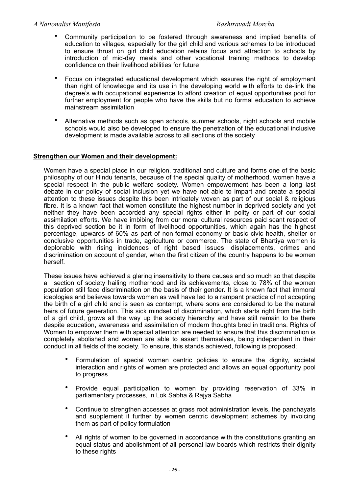- Community participation to be fostered through awareness and implied benefits of education to villages, especially for the girl child and various schemes to be introduced to ensure thrust on girl child education retains focus and attraction to schools by introduction of mid-day meals and other vocational training methods to develop confidence on their livelihood abilities for future
- Focus on integrated educational development which assures the right of employment than right of knowledge and its use in the developing world with efforts to de-link the degree's with occupational experience to afford creation of equal opportunities pool for further employment for people who have the skills but no formal education to achieve mainstream assimilation
- Alternative methods such as open schools, summer schools, night schools and mobile schools would also be developed to ensure the penetration of the educational inclusive development is made available across to all sections of the society

# **Strengthen our Women and their development:**

Women have a special place in our religion, traditional and culture and forms one of the basic philosophy of our Hindu tenants, because of the special quality of motherhood, women have a special respect in the public welfare society. Women empowerment has been a long last debate in our policy of social inclusion yet we have not able to impart and create a special attention to these issues despite this been intricately woven as part of our social & religious fibre. It is a known fact that women constitute the highest number in deprived society and yet neither they have been accorded any special rights either in polity or part of our social assimilation efforts. We have imbibing from our moral cultural resources paid scant respect of this deprived section be it in form of livelihood opportunities, which again has the highest percentage, upwards of 60% as part of non-formal economy or basic civic health, shelter or conclusive opportunities in trade, agriculture or commerce. The state of Bhartiya women is deplorable with rising incidences of right based issues, displacements, crimes and discrimination on account of gender, when the first citizen of the country happens to be women herself.

These issues have achieved a glaring insensitivity to there causes and so much so that despite a section of society hailing motherhood and its achievements, close to 78% of the women population still face discrimination on the basis of their gender. It is a known fact that immoral ideologies and believes towards women as well have led to a rampant practice of not accepting the birth of a girl child and is seen as contempt, where sons are considered to be the natural heirs of future generation. This sick mindset of discrimination, which starts right from the birth of a girl child, grows all the way up the society hierarchy and have still remain to be there despite education, awareness and assimilation of modern thoughts bred in traditions. Rights of Women to empower them with special attention are needed to ensure that this discrimination is completely abolished and women are able to assert themselves, being independent in their conduct in all fields of the society. To ensure, this stands achieved, following is proposed;

- Formulation of special women centric policies to ensure the dignity, societal interaction and rights of women are protected and allows an equal opportunity pool to progress
- Provide equal participation to women by providing reservation of 33% in parliamentary processes, in Lok Sabha & Rajya Sabha
- Continue to strengthen accesses at grass root administration levels, the panchayats and supplement it further by women centric development schemes by invoicing them as part of policy formulation
- All rights of women to be governed in accordance with the constitutions granting an equal status and abolishment of all personal law boards which restricts their dignity to these rights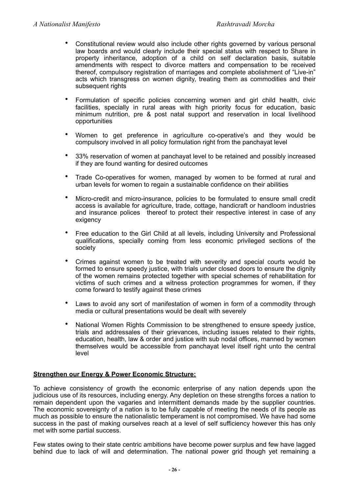- Constitutional review would also include other rights governed by various personal law boards and would clearly include their special status with respect to Share in property inheritance, adoption of a child on self declaration basis, suitable amendments with respect to divorce matters and compensation to be received thereof, compulsory registration of marriages and complete abolishment of "Live-in" acts which transgress on women dignity, treating them as commodities and their subsequent rights
- Formulation of specific policies concerning women and girl child health, civic facilities, specially in rural areas with high priority focus for education, basic minimum nutrition, pre & post natal support and reservation in local livelihood opportunities
- Women to get preference in agriculture co-operative's and they would be compulsory involved in all policy formulation right from the panchayat level
- 33% reservation of women at panchayat level to be retained and possibly increased if they are found wanting for desired outcomes
- Trade Co-operatives for women, managed by women to be formed at rural and urban levels for women to regain a sustainable confidence on their abilities
- Micro-credit and micro-insurance, policies to be formulated to ensure small credit access is available for agriculture, trade, cottage, handicraft or handloom industries and insurance polices thereof to protect their respective interest in case of any exigency
- Free education to the Girl Child at all levels, including University and Professional qualifications, specially coming from less economic privileged sections of the society
- Crimes against women to be treated with severity and special courts would be formed to ensure speedy justice, with trials under closed doors to ensure the dignity of the women remains protected together with special schemes of rehabilitation for victims of such crimes and a witness protection programmes for women, if they come forward to testify against these crimes
- Laws to avoid any sort of manifestation of women in form of a commodity through media or cultural presentations would be dealt with severely
- National Women Rights Commission to be strengthened to ensure speedy justice. trials and addressales of their grievances, including issues related to their rights, education, health, law & order and justice with sub nodal offices, manned by women themselves would be accessible from panchayat level itself right unto the central level

# **Strengthen our Energy & Power Economic Structure:**

To achieve consistency of growth the economic enterprise of any nation depends upon the judicious use of its resources, including energy. Any depletion on these strengths forces a nation to remain dependent upon the vagaries and intermittent demands made by the supplier countries. The economic sovereignty of a nation is to be fully capable of meeting the needs of its people as much as possible to ensure the nationalistic temperament is not compromised. We have had some success in the past of making ourselves reach at a level of self sufficiency however this has only met with some partial success.

Few states owing to their state centric ambitions have become power surplus and few have lagged behind due to lack of will and determination. The national power grid though yet remaining a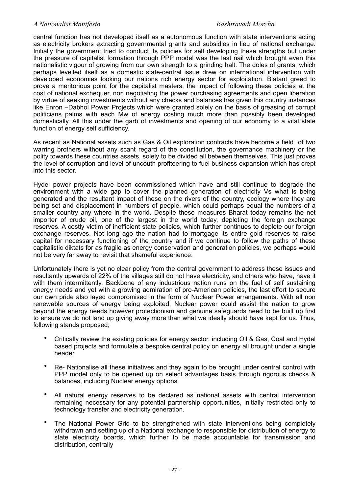central function has not developed itself as a autonomous function with state interventions acting as electricity brokers extracting governmental grants and subsidies in lieu of national exchange. Initially the government tried to conduct its policies for self developing these strengths but under the pressure of capitalist formation through PPP model was the last nail which brought even this nationalistic vigour of growing from our own strength to a grinding halt. The doles of grants, which perhaps levelled itself as a domestic state-central issue drew on international intervention with developed economies looking our nations rich energy sector for exploitation. Blatant greed to prove a meritorious point for the capitalist masters, the impact of following these policies at the cost of national exchequer, non negotiating the power purchasing agreements and open liberation by virtue of seeking investments without any checks and balances has given this country instances like Enron –Dabhol Power Projects which were granted solely on the basis of greasing of corrupt politicians palms with each Mw of energy costing much more than possibly been developed domestically. All this under the garb of investments and opening of our economy to a vital state function of energy self sufficiency.

As recent as National assets such as Gas & Oil exploration contracts have become a field of two warring brothers without any scant regard of the constitution, the governance machinery or the polity towards these countries assets, solely to be divided all between themselves. This just proves the level of corruption and level of uncouth profiteering to fuel business expansion which has crept into this sector.

Hydel power projects have been commissioned which have and still continue to degrade the environment with a wide gap to cover the planned generation of electricity Vs what is being generated and the resultant impact of these on the rivers of the country, ecology where they are being set and displacement in numbers of people, which could perhaps equal the numbers of a smaller country any where in the world. Despite these measures Bharat today remains the net importer of crude oil, one of the largest in the world today, depleting the foreign exchange reserves. A costly victim of inefficient state policies, which further continues to deplete our foreign exchange reserves. Not long ago the nation had to mortgage its entire gold reserves to raise capital for necessary functioning of the country and if we continue to follow the paths of these capitalistic diktats for as fragile as energy conservation and generation policies, we perhaps would not be very far away to revisit that shameful experience.

Unfortunately there is yet no clear policy from the central government to address these issues and resultantly upwards of 22% of the villages still do not have electricity, and others who have, have it with them intermittently. Backbone of any industrious nation runs on the fuel of self sustaining energy needs and yet with a growing admiration of pro-American policies, the last effort to secure our own pride also layed compromised in the form of Nuclear Power arrangements. With all non renewable sources of energy being exploited, Nuclear power could assist the nation to grow beyond the energy needs however protectionism and genuine safeguards need to be built up first to ensure we do not land up giving away more than what we ideally should have kept for us. Thus, following stands proposed;

- Critically review the existing policies for energy sector, including Oil & Gas, Coal and Hydel based projects and formulate a bespoke central policy on energy all brought under a single header
- Re- Nationalise all these initiatives and they again to be brought under central control with PPP model only to be opened up on select advantages basis through rigorous checks & balances, including Nuclear energy options
- All natural energy reserves to be declared as national assets with central intervention remaining necessary for any potential partnership opportunities, initially restricted only to technology transfer and electricity generation.
- The National Power Grid to be strengthened with state interventions being completely withdrawn and setting up of a National exchange to responsible for distribution of energy to state electricity boards, which further to be made accountable for transmission and distribution, centrally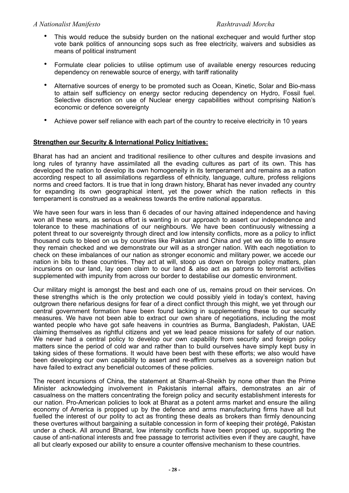- This would reduce the subsidy burden on the national exchequer and would further stop vote bank politics of announcing sops such as free electricity, waivers and subsidies as means of political instrument
- Formulate clear policies to utilise optimum use of available energy resources reducing dependency on renewable source of energy, with tariff rationality
- Alternative sources of energy to be promoted such as Ocean, Kinetic, Solar and Bio-mass to attain self sufficiency on energy sector reducing dependency on Hydro, Fossil fuel. Selective discretion on use of Nuclear energy capabilities without comprising Nation's economic or defence sovereignty
- Achieve power self reliance with each part of the country to receive electricity in 10 years

# **Strengthen our Security & International Policy Initiatives:**

Bharat has had an ancient and traditional resilience to other cultures and despite invasions and long rules of tyranny have assimilated all the evading cultures as part of its own. This has developed the nation to develop its own homogeneity in its temperament and remains as a nation according respect to all assimilations regardless of ethnicity, language, culture, profess religions norms and creed factors. It is true that in long drawn history, Bharat has never invaded any country for expanding its own geographical intent, yet the power which the nation reflects in this temperament is construed as a weakness towards the entire national apparatus.

We have seen four wars in less than 6 decades of our having attained independence and having won all these wars, as serious effort is wanting in our approach to assert our independence and tolerance to these machinations of our neighbours. We have been continuously witnessing a potent threat to our sovereignty through direct and low intensity conflicts, more as a policy to inflict thousand cuts to bleed on us by countries like Pakistan and China and yet we do little to ensure they remain checked and we demonstrate our will as a stronger nation. With each negotiation to check on these imbalances of our nation as stronger economic and military power, we accede our nation in bits to these countries. They act at will, stoop us down on foreign policy matters, plan incursions on our land, lay open claim to our land & also act as patrons to terrorist activities supplemented with impunity from across our border to destabilise our domestic environment.

Our military might is amongst the best and each one of us, remains proud on their services. On these strengths which is the only protection we could possibly yield in today's context, having outgrown there nefarious designs for fear of a direct conflict through this might, we yet through our central government formation have been found lacking in supplementing these to our security measures. We have not been able to extract our own share of negotiations, including the most wanted people who have got safe heavens in countries as Burma, Bangladesh, Pakistan, UAE claiming themselves as rightful citizens and yet we lead peace missions for safety of our nation. We never had a central policy to develop our own capability from security and foreign policy matters since the period of cold war and rather than to build ourselves have simply kept busy in taking sides of these formations. It would have been best with these efforts; we also would have been developing our own capability to assert and re-affirm ourselves as a sovereign nation but have failed to extract any beneficial outcomes of these policies.

The recent incursions of China, the statement at Sharm-al-Sheikh by none other than the Prime Minister acknowledging involvement in Pakistanis internal affairs, demonstrates an air of casualness on the matters concentrating the foreign policy and security establishment interests for our nation. Pro-American policies to look at Bharat as a potent arms market and ensure the ailing economy of America is propped up by the defence and arms manufacturing firms have all but fuelled the interest of our polity to act as fronting these deals as brokers than firmly denouncing these overtures without bargaining a suitable concession in form of keeping their protégé, Pakistan under a check. All around Bharat, low intensity conflicts have been propped up, supporting the cause of anti-national interests and free passage to terrorist activities even if they are caught, have all but clearly exposed our ability to ensure a counter offensive mechanism to these countries.